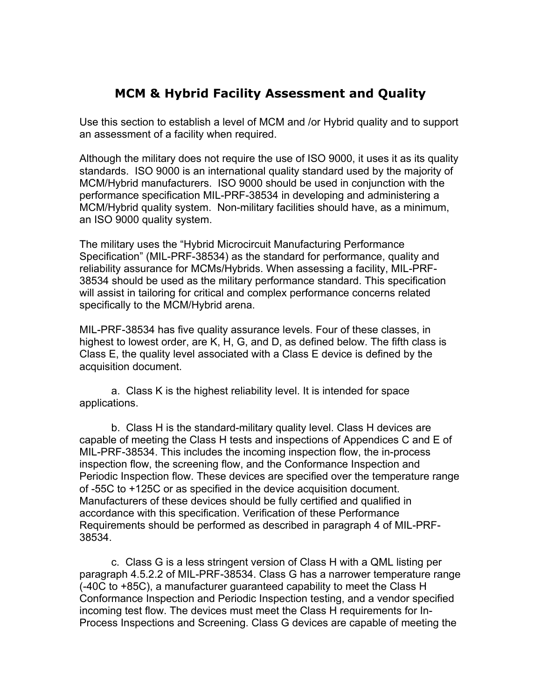## **MCM & Hybrid Facility Assessment and Quality**

Use this section to establish a level of MCM and /or Hybrid quality and to support an assessment of a facility when required.

Although the military does not require the use of ISO 9000, it uses it as its quality standards. ISO 9000 is an international quality standard used by the majority of MCM/Hybrid manufacturers. ISO 9000 should be used in conjunction with the performance specification MIL-PRF-38534 in developing and administering a MCM/Hybrid quality system. Non-military facilities should have, as a minimum, an ISO 9000 quality system.

The military uses the "Hybrid Microcircuit Manufacturing Performance Specification" (MIL-PRF-38534) as the standard for performance, quality and reliability assurance for MCMs/Hybrids. When assessing a facility, MIL-PRF-38534 should be used as the military performance standard. This specification will assist in tailoring for critical and complex performance concerns related specifically to the MCM/Hybrid arena.

MIL-PRF-38534 has five quality assurance levels. Four of these classes, in highest to lowest order, are K, H, G, and D, as defined below. The fifth class is Class E, the quality level associated with a Class E device is defined by the acquisition document.

a. Class K is the highest reliability level. It is intended for space applications.

b. Class H is the standard-military quality level. Class H devices are capable of meeting the Class H tests and inspections of Appendices C and E of MIL-PRF-38534. This includes the incoming inspection flow, the in-process inspection flow, the screening flow, and the Conformance Inspection and Periodic Inspection flow. These devices are specified over the temperature range of -55C to +125C or as specified in the device acquisition document. Manufacturers of these devices should be fully certified and qualified in accordance with this specification. Verification of these Performance Requirements should be performed as described in paragraph 4 of MIL-PRF-38534.

c. Class G is a less stringent version of Class H with a QML listing per paragraph 4.5.2.2 of MIL-PRF-38534. Class G has a narrower temperature range (-40C to +85C), a manufacturer guaranteed capability to meet the Class H Conformance Inspection and Periodic Inspection testing, and a vendor specified incoming test flow. The devices must meet the Class H requirements for In-Process Inspections and Screening. Class G devices are capable of meeting the